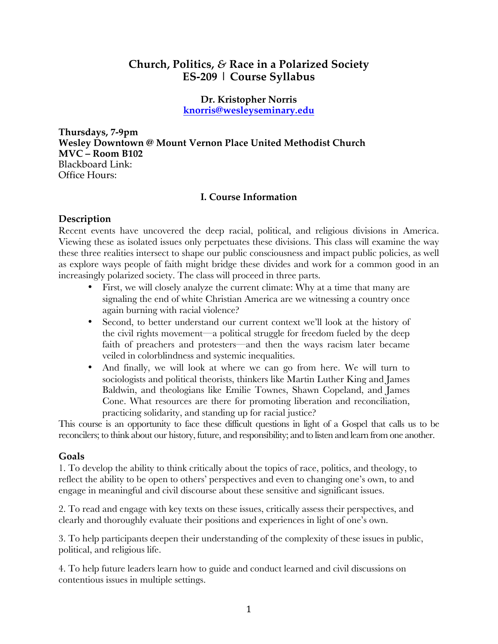# **Church, Politics,** *&* **Race in a Polarized Society ES-209 | Course Syllabus**

**Dr. Kristopher Norris knorris@wesleyseminary.edu**

**Thursdays, 7-9pm Wesley Downtown @ Mount Vernon Place United Methodist Church MVC – Room B102** Blackboard Link: Office Hours:

## **I. Course Information**

# **Description**

Recent events have uncovered the deep racial, political, and religious divisions in America. Viewing these as isolated issues only perpetuates these divisions. This class will examine the way these three realities intersect to shape our public consciousness and impact public policies, as well as explore ways people of faith might bridge these divides and work for a common good in an increasingly polarized society. The class will proceed in three parts.

- First, we will closely analyze the current climate: Why at a time that many are signaling the end of white Christian America are we witnessing a country once again burning with racial violence?
- Second, to better understand our current context we'll look at the history of the civil rights movement—a political struggle for freedom fueled by the deep faith of preachers and protesters—and then the ways racism later became veiled in colorblindness and systemic inequalities.
- And finally, we will look at where we can go from here. We will turn to sociologists and political theorists, thinkers like Martin Luther King and James Baldwin, and theologians like Emilie Townes, Shawn Copeland, and James Cone. What resources are there for promoting liberation and reconciliation, practicing solidarity, and standing up for racial justice?

This course is an opportunity to face these difficult questions in light of a Gospel that calls us to be reconcilers; to think about our history, future, and responsibility; and to listen and learn from one another.

## **Goals**

1. To develop the ability to think critically about the topics of race, politics, and theology, to reflect the ability to be open to others' perspectives and even to changing one's own, to and engage in meaningful and civil discourse about these sensitive and significant issues.

2. To read and engage with key texts on these issues, critically assess their perspectives, and clearly and thoroughly evaluate their positions and experiences in light of one's own.

3. To help participants deepen their understanding of the complexity of these issues in public, political, and religious life.

4. To help future leaders learn how to guide and conduct learned and civil discussions on contentious issues in multiple settings.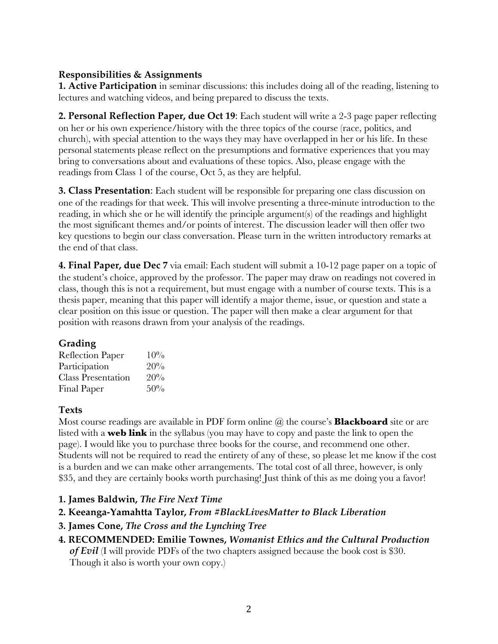# **Responsibilities & Assignments**

**1. Active Participation** in seminar discussions: this includes doing all of the reading, listening to lectures and watching videos, and being prepared to discuss the texts.

**2. Personal Reflection Paper, due Oct 19**: Each student will write a 2-3 page paper reflecting on her or his own experience/history with the three topics of the course (race, politics, and church), with special attention to the ways they may have overlapped in her or his life. In these personal statements please reflect on the presumptions and formative experiences that you may bring to conversations about and evaluations of these topics. Also, please engage with the readings from Class 1 of the course, Oct 5, as they are helpful.

**3. Class Presentation**: Each student will be responsible for preparing one class discussion on one of the readings for that week. This will involve presenting a three-minute introduction to the reading, in which she or he will identify the principle argument(s) of the readings and highlight the most significant themes and/or points of interest. The discussion leader will then offer two key questions to begin our class conversation. Please turn in the written introductory remarks at the end of that class.

**4. Final Paper, due Dec 7** via email: Each student will submit a 10-12 page paper on a topic of the student's choice, approved by the professor. The paper may draw on readings not covered in class, though this is not a requirement, but must engage with a number of course texts. This is a thesis paper, meaning that this paper will identify a major theme, issue, or question and state a clear position on this issue or question. The paper will then make a clear argument for that position with reasons drawn from your analysis of the readings.

# **Grading**

| <b>Reflection Paper</b>   | 10% |
|---------------------------|-----|
| Participation             | 20% |
| <b>Class Presentation</b> | 20% |
| <b>Final Paper</b>        | 50% |

## **Texts**

Most course readings are available in PDF form online @ the course's **Blackboard** site or are listed with a **web link** in the syllabus (you may have to copy and paste the link to open the page). I would like you to purchase three books for the course, and recommend one other. Students will not be required to read the entirety of any of these, so please let me know if the cost is a burden and we can make other arrangements. The total cost of all three, however, is only \$35, and they are certainly books worth purchasing! Just think of this as me doing you a favor!

# **1. James Baldwin,** *The Fire Next Time*

- **2. Keeanga-Yamahtta Taylor,** *From #BlackLivesMatter to Black Liberation*
- **3. James Cone,** *The Cross and the Lynching Tree*
- **4. RECOMMENDED: Emilie Townes,** *Womanist Ethics and the Cultural Production of Evil* (I will provide PDFs of the two chapters assigned because the book cost is \$30. Though it also is worth your own copy.)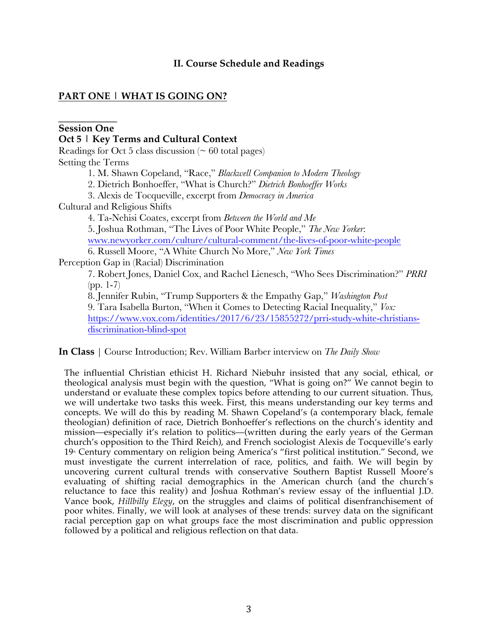## **II. Course Schedule and Readings**

# **PART ONE | WHAT IS GOING ON?**

#### **\_\_\_\_\_\_\_\_\_\_\_\_ Session One**

**Oct 5 | Key Terms and Cultural Context**

Readings for Oct 5 class discussion  $($   $\sim$  60 total pages) Setting the Terms

1. M. Shawn Copeland, "Race," *Blackwell Companion to Modern Theology*

2. Dietrich Bonhoeffer, "What is Church?" *Dietrich Bonhoeffer Works*

3. Alexis de Tocqueville, excerpt from *Democracy in America*

Cultural and Religious Shifts

4. Ta-Nehisi Coates, excerpt from *Between the World and Me* 5. Joshua Rothman, "The Lives of Poor White People," *The New Yorker*: www.newyorker.com/culture/cultural-comment/the-lives-of-poor-white-people 6. Russell Moore, "A White Church No More," *New York Times*

Perception Gap in (Racial) Discrimination

7. Robert Jones, Daniel Cox, and Rachel Lienesch, "Who Sees Discrimination?" *PRRI* (pp. 1-7)

8. Jennifer Rubin, "Trump Supporters & the Empathy Gap," *Washington Post* 9. Tara Isabella Burton, "When it Comes to Detecting Racial Inequality," *Vox:* https://www.vox.com/identities/2017/6/23/15855272/prri-study-white-christiansdiscrimination-blind-spot

**In Class** | Course Introduction; Rev. William Barber interview on *The Daily Show*

The influential Christian ethicist H. Richard Niebuhr insisted that any social, ethical, or theological analysis must begin with the question, "What is going on?" We cannot begin to understand or evaluate these complex topics before attending to our current situation. Thus, we will undertake two tasks this week. First, this means understanding our key terms and concepts. We will do this by reading M. Shawn Copeland's (a contemporary black, female theologian) definition of race, Dietrich Bonhoeffer's reflections on the church's identity and mission—especially it's relation to politics—(written during the early years of the German church's opposition to the Third Reich), and French sociologist Alexis de Tocqueville's early 19<sup>th</sup> Century commentary on religion being America's "first political institution." Second, we must investigate the current interrelation of race, politics, and faith. We will begin by uncovering current cultural trends with conservative Southern Baptist Russell Moore's evaluating of shifting racial demographics in the American church (and the church's reluctance to face this reality) and Joshua Rothman's review essay of the influential J.D. Vance book, *Hillbilly Elegy*, on the struggles and claims of political disenfranchisement of poor whites. Finally, we will look at analyses of these trends: survey data on the significant racial perception gap on what groups face the most discrimination and public oppression followed by a political and religious reflection on that data.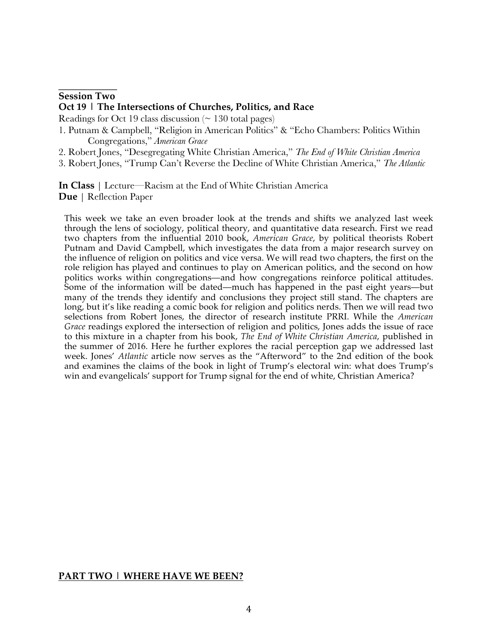#### **\_\_\_\_\_\_\_\_\_\_\_\_ Session Two**

#### **Oct 19 | The Intersections of Churches, Politics, and Race**

Readings for Oct 19 class discussion  $( \sim 130 \text{ total pages} )$ 

- 1. Putnam & Campbell, "Religion in American Politics" & "Echo Chambers: Politics Within Congregations," *American Grace*
- 2. Robert Jones, "Desegregating White Christian America," *The End of White Christian America*
- 3. Robert Jones, "Trump Can't Reverse the Decline of White Christian America," *The Atlantic*

**In Class** | Lecture—Racism at the End of White Christian America **Due** | Reflection Paper

This week we take an even broader look at the trends and shifts we analyzed last week through the lens of sociology, political theory, and quantitative data research. First we read two chapters from the influential 2010 book, *American Grace*, by political theorists Robert Putnam and David Campbell, which investigates the data from a major research survey on the influence of religion on politics and vice versa. We will read two chapters, the first on the role religion has played and continues to play on American politics, and the second on how politics works within congregations—and how congregations reinforce political attitudes. Some of the information will be dated—much has happened in the past eight years—but many of the trends they identify and conclusions they project still stand. The chapters are long, but it's like reading a comic book for religion and politics nerds. Then we will read two selections from Robert Jones, the director of research institute PRRI. While the *American Grace* readings explored the intersection of religion and politics, Jones adds the issue of race to this mixture in a chapter from his book, *The End of White Christian America*, published in the summer of 2016. Here he further explores the racial perception gap we addressed last week. Jones' *Atlantic* article now serves as the "Afterword" to the 2nd edition of the book and examines the claims of the book in light of Trump's electoral win: what does Trump's win and evangelicals' support for Trump signal for the end of white, Christian America?

#### **PART TWO | WHERE HAVE WE BEEN?**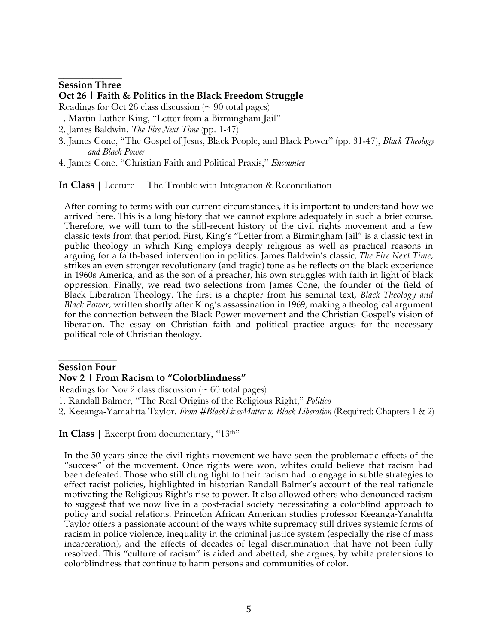#### **\_\_\_\_\_\_\_\_\_\_\_\_\_ Session Three**

### **Oct 26 | Faith & Politics in the Black Freedom Struggle**

Readings for Oct 26 class discussion  $( \sim 90 \text{ total pages})$ 

- 1. Martin Luther King, "Letter from a Birmingham Jail"
- 2. James Baldwin, *The Fire Next Time* (pp. 1-47)
- 3. James Cone, "The Gospel of Jesus, Black People, and Black Power" (pp. 31-47), *Black Theology and Black Power*
- 4. James Cone, "Christian Faith and Political Praxis," *Encounte*r

**In Class** | Lecture— The Trouble with Integration & Reconciliation

After coming to terms with our current circumstances, it is important to understand how we arrived here. This is a long history that we cannot explore adequately in such a brief course. Therefore, we will turn to the still-recent history of the civil rights movement and a few classic texts from that period. First, King's "Letter from a Birmingham Jail" is a classic text in public theology in which King employs deeply religious as well as practical reasons in arguing for a faith-based intervention in politics. James Baldwin's classic, *The Fire Next Time*, strikes an even stronger revolutionary (and tragic) tone as he reflects on the black experience in 1960s America, and as the son of a preacher, his own struggles with faith in light of black oppression. Finally, we read two selections from James Cone, the founder of the field of Black Liberation Theology. The first is a chapter from his seminal text, *Black Theology and Black Power,* written shortly after King's assassination in 1969, making a theological argument for the connection between the Black Power movement and the Christian Gospel's vision of liberation. The essay on Christian faith and political practice argues for the necessary political role of Christian theology.

#### $\overline{\phantom{a}}$ **Session Four**

#### **Nov 2 | From Racism to "Colorblindness"**

Readings for Nov 2 class discussion ( $\sim 60$  total pages)

- 1. Randall Balmer, "The Real Origins of the Religious Right," *Politico*
- 2. Keeanga-Yamahtta Taylor, *From #BlackLivesMatter to Black Liberation* (Required: Chapters 1 & 2)

**In Class** | Excerpt from documentary, "13<sup>th"</sup>

In the 50 years since the civil rights movement we have seen the problematic effects of the "success" of the movement. Once rights were won, whites could believe that racism had been defeated. Those who still clung tight to their racism had to engage in subtle strategies to effect racist policies, highlighted in historian Randall Balmer's account of the real rationale motivating the Religious Right's rise to power. It also allowed others who denounced racism to suggest that we now live in a post-racial society necessitating a colorblind approach to policy and social relations. Princeton African American studies professor Keeanga-Yanahtta Taylor offers a passionate account of the ways white supremacy still drives systemic forms of racism in police violence, inequality in the criminal justice system (especially the rise of mass incarceration), and the effects of decades of legal discrimination that have not been fully resolved. This "culture of racism" is aided and abetted, she argues, by white pretensions to colorblindness that continue to harm persons and communities of color.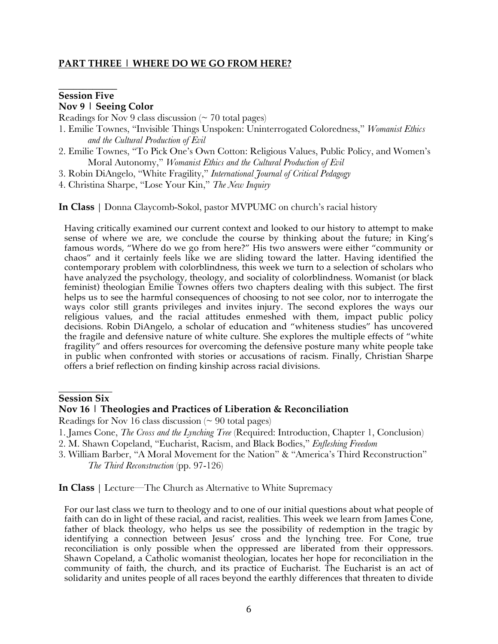### **PART THREE | WHERE DO WE GO FROM HERE?**

### **\_\_\_\_\_\_\_\_\_\_\_\_ Session Five Nov 9 | Seeing Color**

Readings for Nov 9 class discussion  $($   $\sim$  70 total pages)

- 1. Emilie Townes, "Invisible Things Unspoken: Uninterrogated Coloredness," *Womanist Ethics and the Cultural Production of Evil*
- 2. Emilie Townes, "To Pick One's Own Cotton: Religious Values, Public Policy, and Women's Moral Autonomy," *Womanist Ethics and the Cultural Production of Evil*
- 3. Robin DiAngelo, "White Fragility," *International Journal of Critical Pedagogy*
- 4. Christina Sharpe, "Lose Your Kin," *The New Inquiry*

**In Class** | Donna Claycomb-Sokol, pastor MVPUMC on church's racial history

Having critically examined our current context and looked to our history to attempt to make sense of where we are, we conclude the course by thinking about the future; in King's famous words, "Where do we go from here?" His two answers were either "community or chaos" and it certainly feels like we are sliding toward the latter. Having identified the contemporary problem with colorblindness, this week we turn to a selection of scholars who have analyzed the psychology, theology, and sociality of colorblindness. Womanist (or black feminist) theologian Emilie Townes offers two chapters dealing with this subject. The first helps us to see the harmful consequences of choosing to not see color, nor to interrogate the ways color still grants privileges and invites injury. The second explores the ways our religious values, and the racial attitudes enmeshed with them, impact public policy decisions. Robin DiAngelo, a scholar of education and "whiteness studies" has uncovered the fragile and defensive nature of white culture. She explores the multiple effects of "white fragility" and offers resources for overcoming the defensive posture many white people take in public when confronted with stories or accusations of racism. Finally, Christian Sharpe offers a brief reflection on finding kinship across racial divisions.

#### $\overline{\phantom{a}}$  , where  $\overline{\phantom{a}}$ **Session Six**

#### **Nov 16 | Theologies and Practices of Liberation & Reconciliation**

Readings for Nov 16 class discussion  $( \sim 90 \text{ total pages})$ 

- 1. James Cone, *The Cross and the Lynching Tree* (Required: Introduction, Chapter 1, Conclusion)
- 2. M. Shawn Copeland, "Eucharist, Racism, and Black Bodies," *Enfleshing Freedom*
- 3. William Barber, "A Moral Movement for the Nation" & "America's Third Reconstruction" *The Third Reconstruction* (pp. 97-126)

**In Class** | Lecture—The Church as Alternative to White Supremacy

For our last class we turn to theology and to one of our initial questions about what people of faith can do in light of these racial, and racist, realities. This week we learn from James Cone, father of black theology, who helps us see the possibility of redemption in the tragic by identifying a connection between Jesus' cross and the lynching tree. For Cone, true reconciliation is only possible when the oppressed are liberated from their oppressors. Shawn Copeland, a Catholic womanist theologian, locates her hope for reconciliation in the community of faith, the church, and its practice of Eucharist. The Eucharist is an act of solidarity and unites people of all races beyond the earthly differences that threaten to divide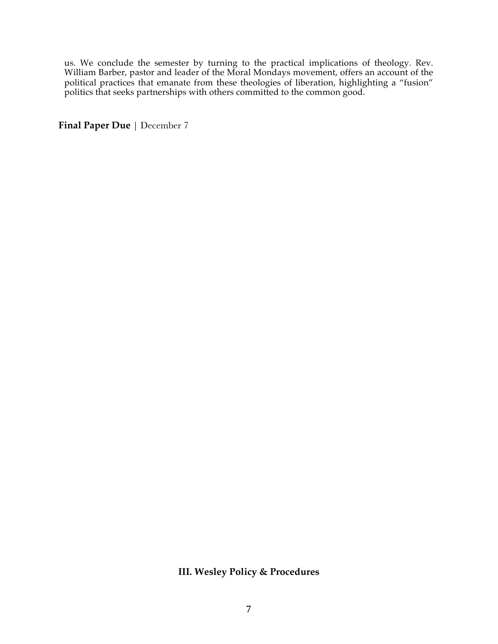us. We conclude the semester by turning to the practical implications of theology. Rev. William Barber, pastor and leader of the Moral Mondays movement, offers an account of the political practices that emanate from these theologies of liberation, highlighting a "fusion" politics that seeks partnerships with others committed to the common good.

**Final Paper Due** | December 7

# **III. Wesley Policy & Procedures**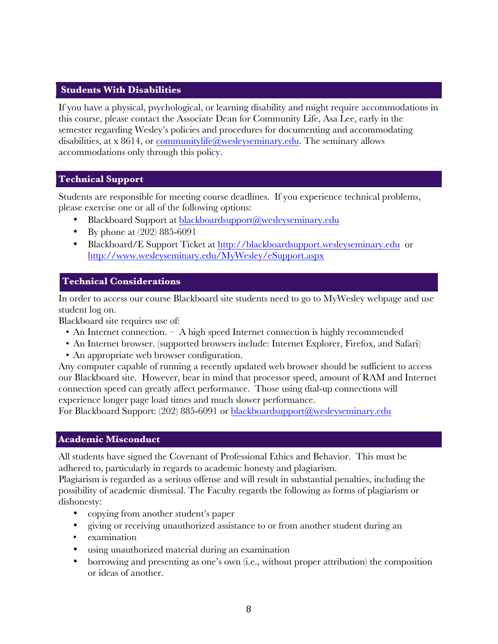### **Students With Disabilities**

If you have a physical, psychological, or learning disability and might require accommodations in this course, please contact the Associate Dean for Community Life, Asa Lee, early in the semester regarding Wesley's policies and procedures for documenting and accommodating disabilities, at x 8614, or communitylife@wesleyseminary.edu. The seminary allows accommodations only through this policy.

### **Technical Support**

Students are responsible for meeting course deadlines. If you experience technical problems, please exercise one or all of the following options:

- Blackboard Support at blackboardsupport@wesleyseminary.edu
- By phone at (202) 885-6091
- Blackboard/E Support Ticket at http://blackboardsupport.wesleyseminary.edu or http://www.wesleyseminary.edu/MyWesley/eSupport.aspx

## **Technical Considerations**

In order to access our course Blackboard site students need to go to MyWesley webpage and use student log on.

Blackboard site requires use of:

- An Internet connection. A high speed Internet connection is highly recommended
- An Internet browser. (supported browsers include: Internet Explorer, Firefox, and Safari)
- An appropriate web browser configuration.

Any computer capable of running a recently updated web browser should be sufficient to access our Blackboard site. However, bear in mind that processor speed, amount of RAM and Internet connection speed can greatly affect performance. Those using dial-up connections will experience longer page load times and much slower performance.

For Blackboard Support: (202) 885-6091 or blackboardsupport@wesleyseminary.edu

### **Academic Misconduct**

All students have signed the Covenant of Professional Ethics and Behavior. This must be adhered to, particularly in regards to academic honesty and plagiarism.

Plagiarism is regarded as a serious offense and will result in substantial penalties, including the possibility of academic dismissal. The Faculty regards the following as forms of plagiarism or dishonesty:

- copying from another student's paper
- giving or receiving unauthorized assistance to or from another student during an
- examination
- using unauthorized material during an examination
- borrowing and presenting as one's own (i.e., without proper attribution) the composition or ideas of another.